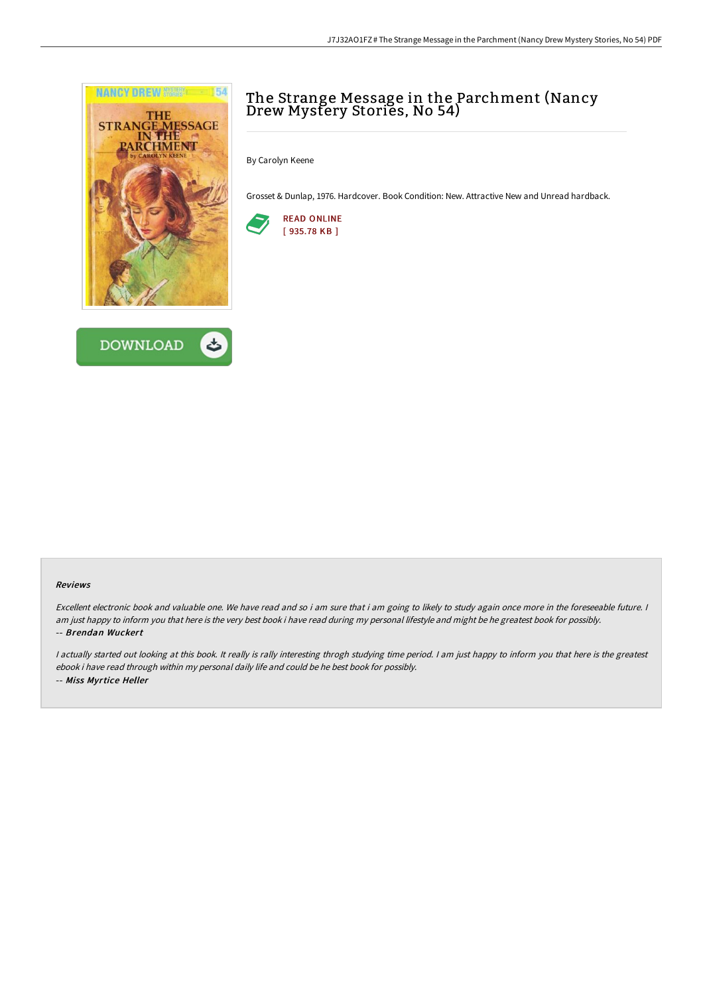



# The Strange Message in the Parchment (Nancy Drew Mystery Stories, No 54)

By Carolyn Keene

Grosset & Dunlap, 1976. Hardcover. Book Condition: New. Attractive New and Unread hardback.



#### Reviews

Excellent electronic book and valuable one. We have read and so i am sure that i am going to likely to study again once more in the foreseeable future. <sup>I</sup> am just happy to inform you that here is the very best book i have read during my personal lifestyle and might be he greatest book for possibly. -- Brendan Wuckert

I actually started out looking at this book. It really is rally interesting throgh studying time period. I am just happy to inform you that here is the greatest ebook i have read through within my personal daily life and could be he best book for possibly. -- Miss Myrtice Heller